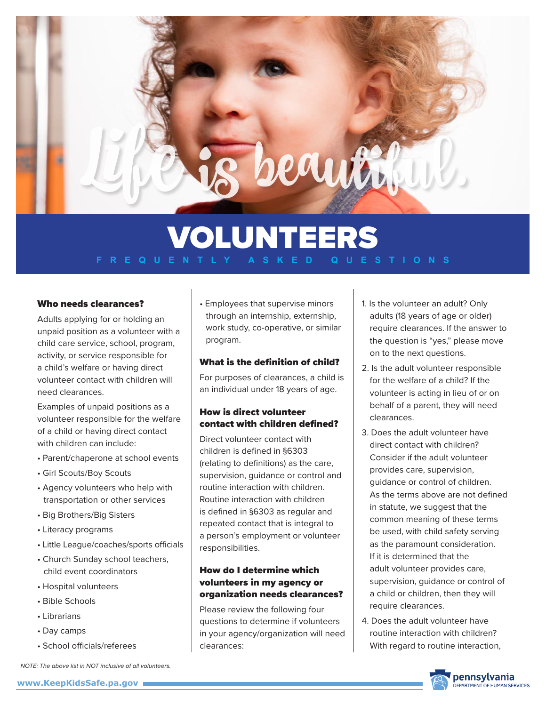rauti

## Who needs clearances?

Adults applying for or holding an unpaid position as a volunteer with a child care service, school, program, activity, or service responsible for a child's welfare or having direct volunteer contact with children will need clearances.

Examples of unpaid positions as a volunteer responsible for the welfare of a child or having direct contact with children can include:

- Parent/chaperone at school events
- Girl Scouts/Boy Scouts
- Agency volunteers who help with transportation or other services
- Big Brothers/Big Sisters
- Literacy programs
- Little League/coaches/sports officials
- Church Sunday school teachers, child event coordinators
- Hospital volunteers
- Bible Schools
- Librarians
- Day camps
- School officials/referees

• Employees that supervise minors through an internship, externship, work study, co-operative, or similar program.

## What is the definition of child?

For purposes of clearances, a child is an individual under 18 years of age.

# How is direct volunteer contact with children defined?

Direct volunteer contact with children is defined in §6303 (relating to definitions) as the care, supervision, guidance or control and routine interaction with children. Routine interaction with children is defined in §6303 as regular and repeated contact that is integral to a person's employment or volunteer responsibilities.

# How do I determine which volunteers in my agency or organization needs clearances?

Please review the following four questions to determine if volunteers in your agency/organization will need clearances:

- 1. Is the volunteer an adult? Only adults (18 years of age or older) require clearances. If the answer to the question is "yes," please move on to the next questions.
- 2. Is the adult volunteer responsible for the welfare of a child? If the volunteer is acting in lieu of or on behalf of a parent, they will need clearances.
- 3. Does the adult volunteer have direct contact with children? Consider if the adult volunteer provides care, supervision, guidance or control of children. As the terms above are not defined in statute, we suggest that the common meaning of these terms be used, with child safety serving as the paramount consideration. If it is determined that the adult volunteer provides care, supervision, guidance or control of a child or children, then they will require clearances.
- 4. Does the adult volunteer have routine interaction with children? With regard to routine interaction,



*NOTE: The above list in NOT inclusive of all volunteers.* 

#### **www.KeepKidsSafe.pa.gov**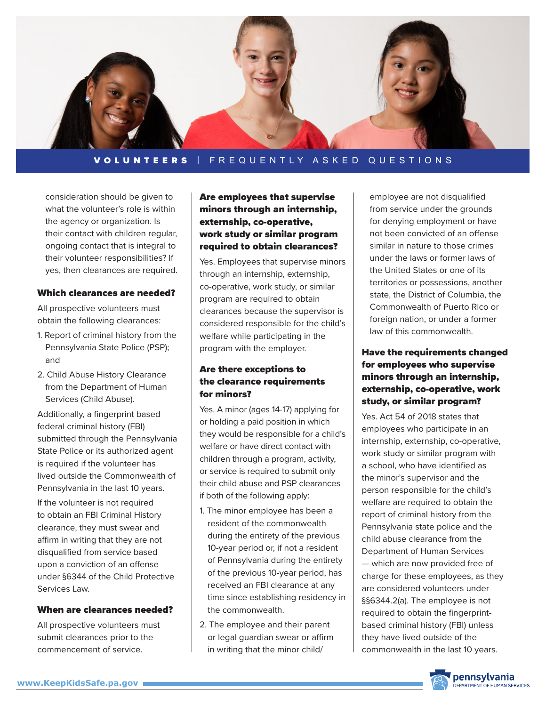

consideration should be given to what the volunteer's role is within the agency or organization. Is their contact with children regular, ongoing contact that is integral to their volunteer responsibilities? If yes, then clearances are required.

#### Which clearances are needed?

All prospective volunteers must obtain the following clearances:

- 1. Report of criminal history from the Pennsylvania State Police (PSP); and
- 2. Child Abuse History Clearance from the Department of Human Services (Child Abuse).

Additionally, a fingerprint based federal criminal history (FBI) submitted through the Pennsylvania State Police or its authorized agent is required if the volunteer has lived outside the Commonwealth of Pennsylvania in the last 10 years.

If the volunteer is not required to obtain an FBI Criminal History clearance, they must swear and affirm in writing that they are not disqualified from service based upon a conviction of an offense under §6344 of the Child Protective Services Law.

#### When are clearances needed?

All prospective volunteers must submit clearances prior to the commencement of service.

# Are employees that supervise minors through an internship, externship, co-operative, work study or similar program required to obtain clearances?

Yes. Employees that supervise minors through an internship, externship, co-operative, work study, or similar program are required to obtain clearances because the supervisor is considered responsible for the child's welfare while participating in the program with the employer.

# Are there exceptions to the clearance requirements for minors?

Yes. A minor (ages 14-17) applying for or holding a paid position in which they would be responsible for a child's welfare or have direct contact with children through a program, activity, or service is required to submit only their child abuse and PSP clearances if both of the following apply:

- 1. The minor employee has been a resident of the commonwealth during the entirety of the previous 10-year period or, if not a resident of Pennsylvania during the entirety of the previous 10-year period, has received an FBI clearance at any time since establishing residency in the commonwealth.
- 2. The employee and their parent or legal guardian swear or affirm in writing that the minor child/

employee are not disqualified from service under the grounds for denying employment or have not been convicted of an offense similar in nature to those crimes under the laws or former laws of the United States or one of its territories or possessions, another state, the District of Columbia, the Commonwealth of Puerto Rico or foreign nation, or under a former law of this commonwealth.

# Have the requirements changed for employees who supervise minors through an internship, externship, co-operative, work study, or similar program?

Yes. Act 54 of 2018 states that employees who participate in an internship, externship, co-operative, work study or similar program with a school, who have identified as the minor's supervisor and the person responsible for the child's welfare are required to obtain the report of criminal history from the Pennsylvania state police and the child abuse clearance from the Department of Human Services — which are now provided free of charge for these employees, as they are considered volunteers under §§6344.2(a). The employee is not required to obtain the fingerprintbased criminal history (FBI) unless they have lived outside of the commonwealth in the last 10 years.

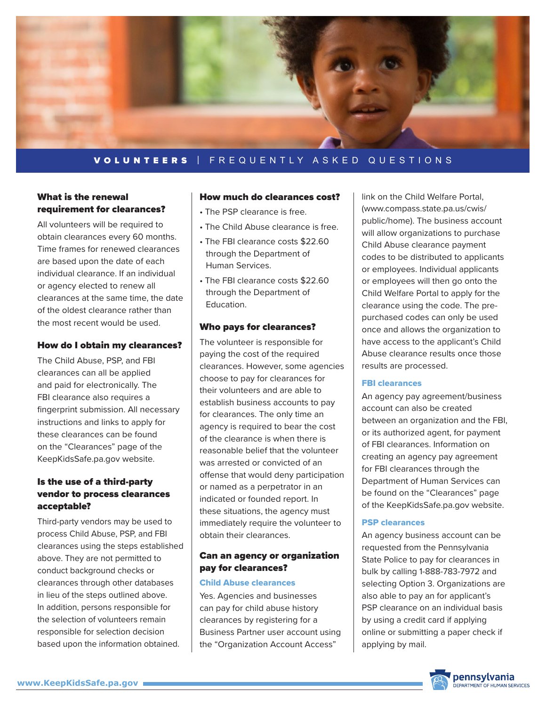

# What is the renewal requirement for clearances?

All volunteers will be required to obtain clearances every 60 months. Time frames for renewed clearances are based upon the date of each individual clearance. If an individual or agency elected to renew all clearances at the same time, the date of the oldest clearance rather than the most recent would be used.

## How do I obtain my clearances?

The Child Abuse, PSP, and FBI clearances can all be applied and paid for electronically. The FBI clearance also requires a fingerprint submission. All necessary instructions and links to apply for these clearances can be found on the "Clearances" page of the KeepKidsSafe.pa.gov website.

# Is the use of a third-party vendor to process clearances acceptable?

Third-party vendors may be used to process Child Abuse, PSP, and FBI clearances using the steps established above. They are not permitted to conduct background checks or clearances through other databases in lieu of the steps outlined above. In addition, persons responsible for the selection of volunteers remain responsible for selection decision based upon the information obtained.

#### How much do clearances cost?

- The PSP clearance is free.
- The Child Abuse clearance is free.
- The FBI clearance costs \$22.60 through the Department of Human Services.
- The FBI clearance costs \$22.60 through the Department of Education.

#### Who pays for clearances?

The volunteer is responsible for paying the cost of the required clearances. However, some agencies choose to pay for clearances for their volunteers and are able to establish business accounts to pay for clearances. The only time an agency is required to bear the cost of the clearance is when there is reasonable belief that the volunteer was arrested or convicted of an offense that would deny participation or named as a perpetrator in an indicated or founded report. In these situations, the agency must immediately require the volunteer to obtain their clearances.

## Can an agency or organization pay for clearances?

#### Child Abuse clearances

Yes. Agencies and businesses can pay for child abuse history clearances by registering for a Business Partner user account using the "Organization Account Access"

link on the Child Welfare Portal, (www.compass.state.pa.us/cwis/ public/home). The business account will allow organizations to purchase Child Abuse clearance payment codes to be distributed to applicants or employees. Individual applicants or employees will then go onto the Child Welfare Portal to apply for the clearance using the code. The prepurchased codes can only be used once and allows the organization to have access to the applicant's Child Abuse clearance results once those results are processed.

#### FBI clearances

An agency pay agreement/business account can also be created between an organization and the FBI, or its authorized agent, for payment of FBI clearances. Information on creating an agency pay agreement for FBI clearances through the Department of Human Services can be found on the "Clearances" page of the KeepKidsSafe.pa.gov website.

#### PSP clearances

An agency business account can be requested from the Pennsylvania State Police to pay for clearances in bulk by calling 1-888-783-7972 and selecting Option 3. Organizations are also able to pay an for applicant's PSP clearance on an individual basis by using a credit card if applying online or submitting a paper check if applying by mail.

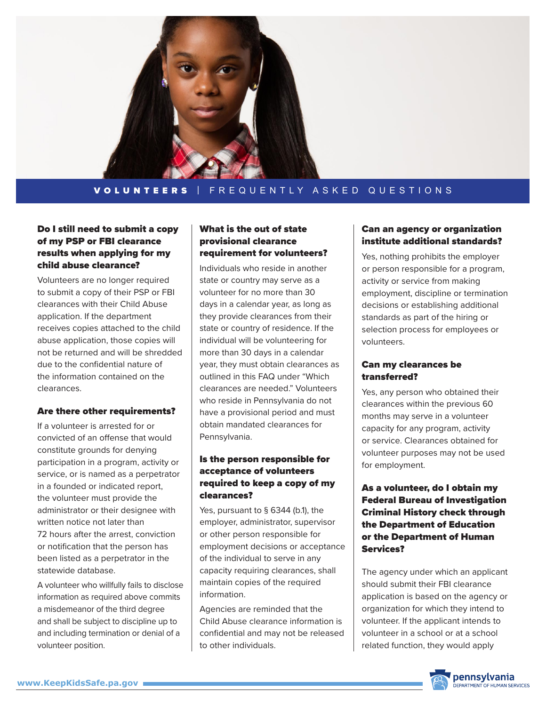

## Do I still need to submit a copy of my PSP or FBI clearance results when applying for my child abuse clearance?

Volunteers are no longer required to submit a copy of their PSP or FBI clearances with their Child Abuse application. If the department receives copies attached to the child abuse application, those copies will not be returned and will be shredded due to the confidential nature of the information contained on the clearances.

#### Are there other requirements?

If a volunteer is arrested for or convicted of an offense that would constitute grounds for denying participation in a program, activity or service, or is named as a perpetrator in a founded or indicated report, the volunteer must provide the administrator or their designee with written notice not later than 72 hours after the arrest, conviction or notification that the person has been listed as a perpetrator in the statewide database.

A volunteer who willfully fails to disclose information as required above commits a misdemeanor of the third degree and shall be subject to discipline up to and including termination or denial of a volunteer position.

# What is the out of state provisional clearance requirement for volunteers?

Individuals who reside in another state or country may serve as a volunteer for no more than 30 days in a calendar year, as long as they provide clearances from their state or country of residence. If the individual will be volunteering for more than 30 days in a calendar year, they must obtain clearances as outlined in this FAQ under "Which clearances are needed." Volunteers who reside in Pennsylvania do not have a provisional period and must obtain mandated clearances for Pennsylvania.

# Is the person responsible for acceptance of volunteers required to keep a copy of my clearances?

Yes, pursuant to § 6344 (b.1), the employer, administrator, supervisor or other person responsible for employment decisions or acceptance of the individual to serve in any capacity requiring clearances, shall maintain copies of the required information.

Agencies are reminded that the Child Abuse clearance information is confidential and may not be released to other individuals.

## Can an agency or organization institute additional standards?

Yes, nothing prohibits the employer or person responsible for a program, activity or service from making employment, discipline or termination decisions or establishing additional standards as part of the hiring or selection process for employees or volunteers.

## Can my clearances be transferred?

Yes, any person who obtained their clearances within the previous 60 months may serve in a volunteer capacity for any program, activity or service. Clearances obtained for volunteer purposes may not be used for employment.

# As a volunteer, do I obtain my Federal Bureau of Investigation Criminal History check through the Department of Education or the Department of Human Services?

The agency under which an applicant should submit their FBI clearance application is based on the agency or organization for which they intend to volunteer. If the applicant intends to volunteer in a school or at a school related function, they would apply